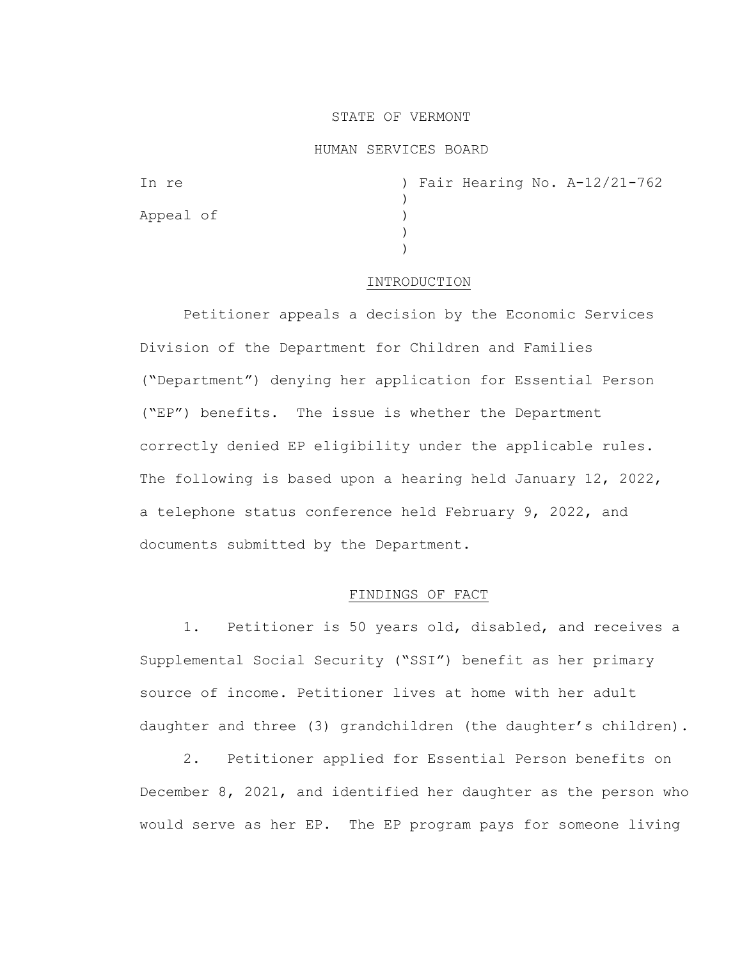## STATE OF VERMONT

### HUMAN SERVICES BOARD

| In re     |  |  | ) Fair Hearing No. A-12/21-762 |
|-----------|--|--|--------------------------------|
|           |  |  |                                |
| Appeal of |  |  |                                |
|           |  |  |                                |
|           |  |  |                                |

#### INTRODUCTION

Petitioner appeals a decision by the Economic Services Division of the Department for Children and Families ("Department") denying her application for Essential Person ("EP") benefits. The issue is whether the Department correctly denied EP eligibility under the applicable rules. The following is based upon a hearing held January 12, 2022, a telephone status conference held February 9, 2022, and documents submitted by the Department.

# FINDINGS OF FACT

1. Petitioner is 50 years old, disabled, and receives a Supplemental Social Security ("SSI") benefit as her primary source of income. Petitioner lives at home with her adult daughter and three (3) grandchildren (the daughter's children).

2. Petitioner applied for Essential Person benefits on December 8, 2021, and identified her daughter as the person who would serve as her EP. The EP program pays for someone living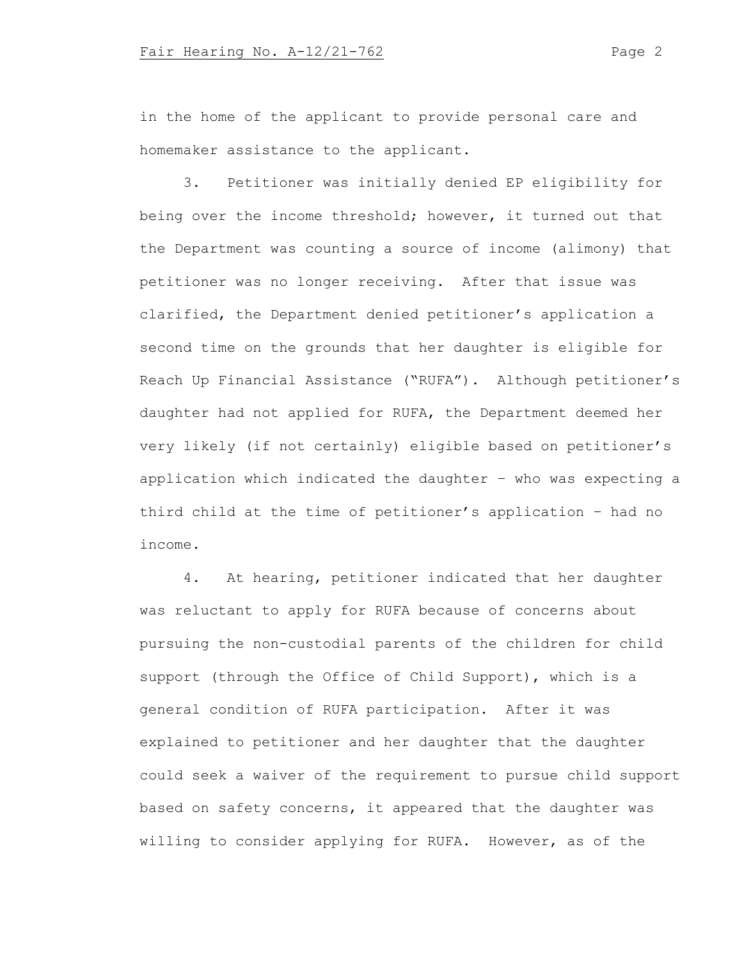in the home of the applicant to provide personal care and homemaker assistance to the applicant.

3. Petitioner was initially denied EP eligibility for being over the income threshold; however, it turned out that the Department was counting a source of income (alimony) that petitioner was no longer receiving. After that issue was clarified, the Department denied petitioner's application a second time on the grounds that her daughter is eligible for Reach Up Financial Assistance ("RUFA"). Although petitioner's daughter had not applied for RUFA, the Department deemed her very likely (if not certainly) eligible based on petitioner's application which indicated the daughter – who was expecting a third child at the time of petitioner's application – had no income.

4. At hearing, petitioner indicated that her daughter was reluctant to apply for RUFA because of concerns about pursuing the non-custodial parents of the children for child support (through the Office of Child Support), which is a general condition of RUFA participation. After it was explained to petitioner and her daughter that the daughter could seek a waiver of the requirement to pursue child support based on safety concerns, it appeared that the daughter was willing to consider applying for RUFA. However, as of the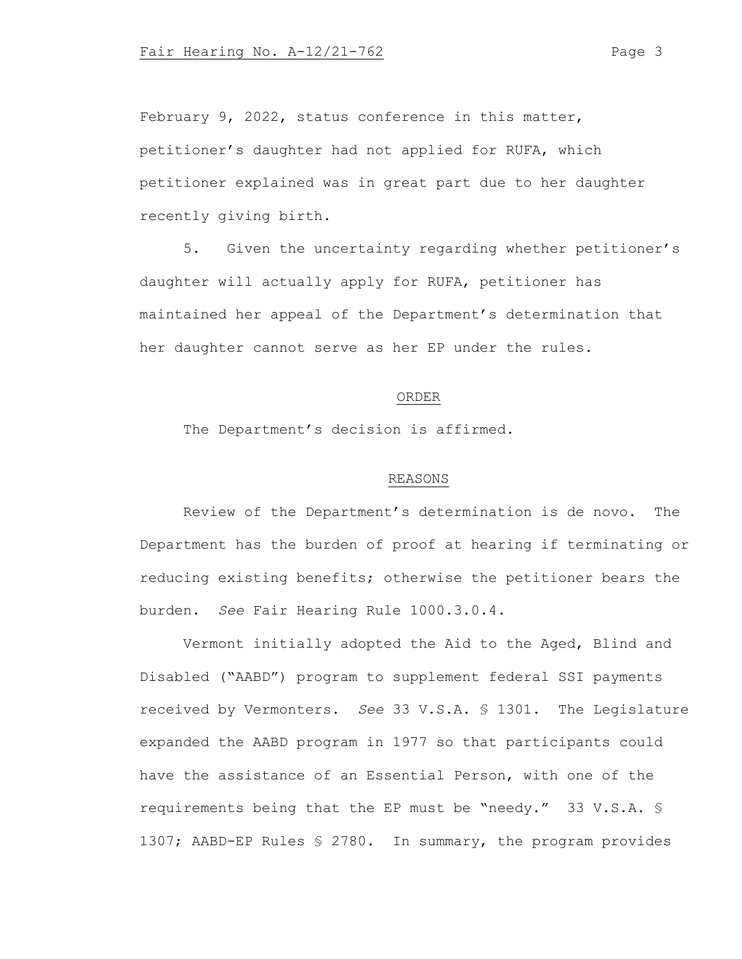February 9, 2022, status conference in this matter, petitioner's daughter had not applied for RUFA, which petitioner explained was in great part due to her daughter recently giving birth.

5. Given the uncertainty regarding whether petitioner's daughter will actually apply for RUFA, petitioner has maintained her appeal of the Department's determination that her daughter cannot serve as her EP under the rules.

### ORDER

The Department's decision is affirmed.

### REASONS

Review of the Department's determination is de novo. The Department has the burden of proof at hearing if terminating or reducing existing benefits; otherwise the petitioner bears the burden. *See* Fair Hearing Rule 1000.3.0.4.

Vermont initially adopted the Aid to the Aged, Blind and Disabled ("AABD") program to supplement federal SSI payments received by Vermonters. *See* 33 V.S.A. § 1301. The Legislature expanded the AABD program in 1977 so that participants could have the assistance of an Essential Person, with one of the requirements being that the EP must be "needy." 33 V.S.A. § 1307; AABD-EP Rules § 2780. In summary, the program provides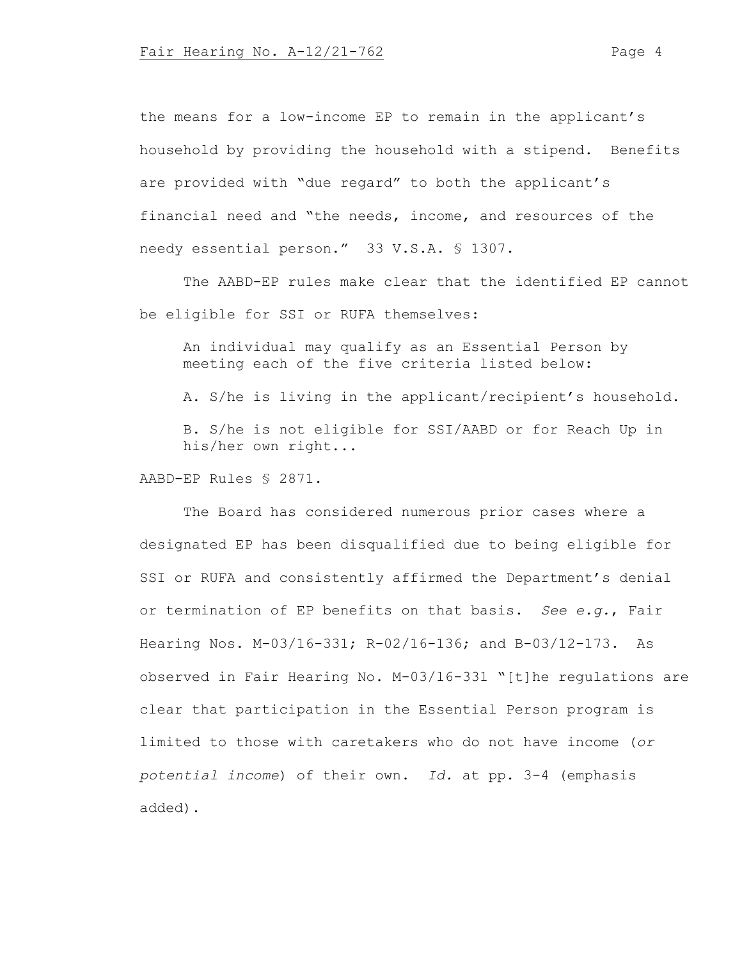the means for a low-income EP to remain in the applicant's household by providing the household with a stipend. Benefits are provided with "due regard" to both the applicant's financial need and "the needs, income, and resources of the needy essential person." 33 V.S.A. § 1307.

The AABD-EP rules make clear that the identified EP cannot be eligible for SSI or RUFA themselves:

An individual may qualify as an Essential Person by meeting each of the five criteria listed below:

A. S/he is living in the applicant/recipient's household. B. S/he is not eligible for SSI/AABD or for Reach Up in his/her own right...

AABD-EP Rules § 2871.

The Board has considered numerous prior cases where a designated EP has been disqualified due to being eligible for SSI or RUFA and consistently affirmed the Department's denial or termination of EP benefits on that basis. *See e.g.*, Fair Hearing Nos. M-03/16-331; R-02/16-136; and B-03/12-173. As observed in Fair Hearing No. M-03/16-331 "[t]he regulations are clear that participation in the Essential Person program is limited to those with caretakers who do not have income (*or potential income*) of their own. *Id.* at pp. 3-4 (emphasis added).